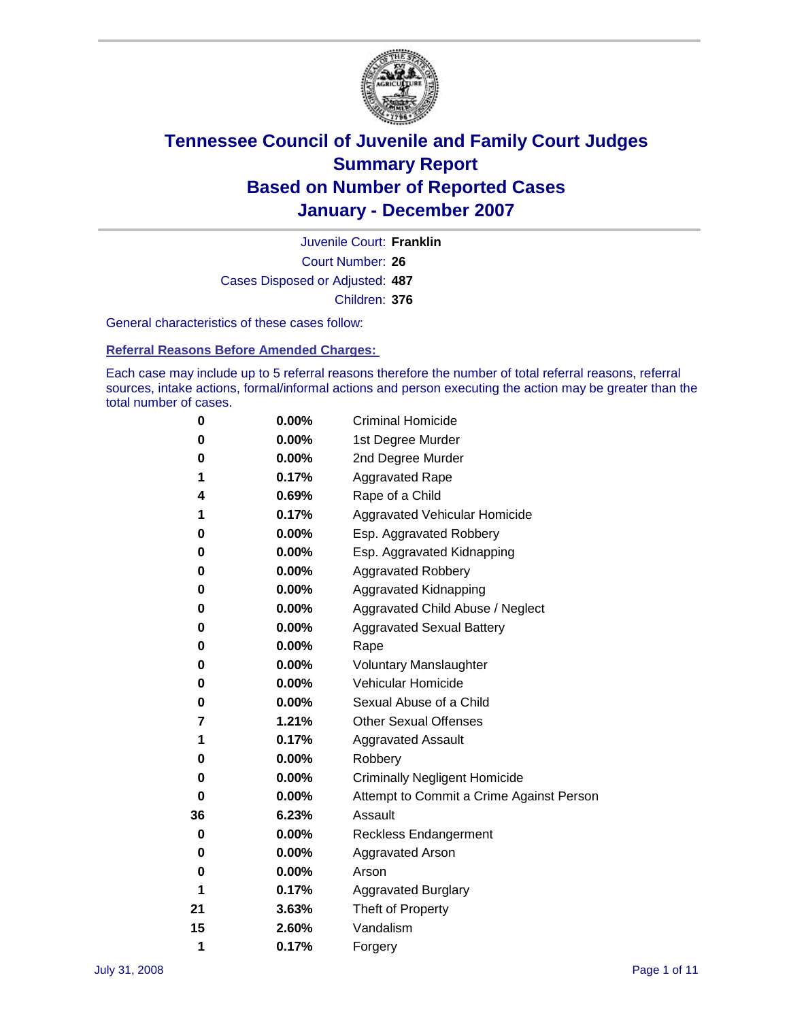

Court Number: **26** Juvenile Court: **Franklin** Cases Disposed or Adjusted: **487** Children: **376**

General characteristics of these cases follow:

**Referral Reasons Before Amended Charges:** 

Each case may include up to 5 referral reasons therefore the number of total referral reasons, referral sources, intake actions, formal/informal actions and person executing the action may be greater than the total number of cases.

| 0  | 0.00%    | <b>Criminal Homicide</b>                 |
|----|----------|------------------------------------------|
| 0  | 0.00%    | 1st Degree Murder                        |
| 0  | 0.00%    | 2nd Degree Murder                        |
| 1  | 0.17%    | <b>Aggravated Rape</b>                   |
| 4  | 0.69%    | Rape of a Child                          |
| 1  | 0.17%    | Aggravated Vehicular Homicide            |
| 0  | 0.00%    | Esp. Aggravated Robbery                  |
| 0  | 0.00%    | Esp. Aggravated Kidnapping               |
| 0  | 0.00%    | <b>Aggravated Robbery</b>                |
| 0  | 0.00%    | Aggravated Kidnapping                    |
| 0  | 0.00%    | Aggravated Child Abuse / Neglect         |
| 0  | 0.00%    | <b>Aggravated Sexual Battery</b>         |
| 0  | 0.00%    | Rape                                     |
| 0  | 0.00%    | <b>Voluntary Manslaughter</b>            |
| 0  | 0.00%    | Vehicular Homicide                       |
| 0  | $0.00\%$ | Sexual Abuse of a Child                  |
| 7  | 1.21%    | <b>Other Sexual Offenses</b>             |
| 1  | 0.17%    | <b>Aggravated Assault</b>                |
| 0  | 0.00%    | Robbery                                  |
| 0  | $0.00\%$ | <b>Criminally Negligent Homicide</b>     |
| 0  | 0.00%    | Attempt to Commit a Crime Against Person |
| 36 | 6.23%    | Assault                                  |
| 0  | 0.00%    | <b>Reckless Endangerment</b>             |
| 0  | $0.00\%$ | <b>Aggravated Arson</b>                  |
| 0  | 0.00%    | Arson                                    |
| 1  | 0.17%    | <b>Aggravated Burglary</b>               |
| 21 | 3.63%    | Theft of Property                        |
| 15 | 2.60%    | Vandalism                                |
| 1  | 0.17%    | Forgery                                  |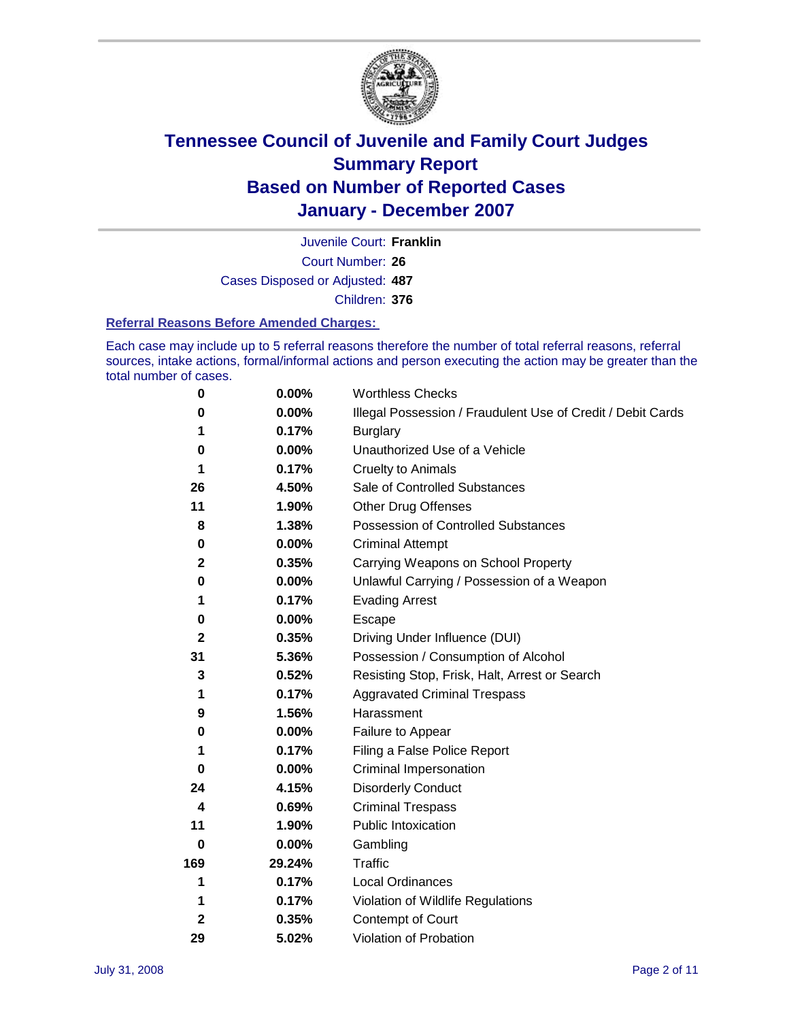

Court Number: **26** Juvenile Court: **Franklin** Cases Disposed or Adjusted: **487** Children: **376**

#### **Referral Reasons Before Amended Charges:**

Each case may include up to 5 referral reasons therefore the number of total referral reasons, referral sources, intake actions, formal/informal actions and person executing the action may be greater than the total number of cases.

| 0            | 0.00%    | <b>Worthless Checks</b>                                     |
|--------------|----------|-------------------------------------------------------------|
| 0            | 0.00%    | Illegal Possession / Fraudulent Use of Credit / Debit Cards |
| 1            | 0.17%    | <b>Burglary</b>                                             |
| 0            | $0.00\%$ | Unauthorized Use of a Vehicle                               |
| 1            | 0.17%    | <b>Cruelty to Animals</b>                                   |
| 26           | 4.50%    | Sale of Controlled Substances                               |
| 11           | 1.90%    | <b>Other Drug Offenses</b>                                  |
| 8            | 1.38%    | Possession of Controlled Substances                         |
| 0            | 0.00%    | <b>Criminal Attempt</b>                                     |
| $\mathbf 2$  | 0.35%    | Carrying Weapons on School Property                         |
| 0            | 0.00%    | Unlawful Carrying / Possession of a Weapon                  |
| 1            | 0.17%    | <b>Evading Arrest</b>                                       |
| 0            | 0.00%    | Escape                                                      |
| $\mathbf{2}$ | 0.35%    | Driving Under Influence (DUI)                               |
| 31           | 5.36%    | Possession / Consumption of Alcohol                         |
| 3            | 0.52%    | Resisting Stop, Frisk, Halt, Arrest or Search               |
| 1            | 0.17%    | <b>Aggravated Criminal Trespass</b>                         |
| 9            | 1.56%    | Harassment                                                  |
| 0            | 0.00%    | Failure to Appear                                           |
| 1            | 0.17%    | Filing a False Police Report                                |
| 0            | 0.00%    | Criminal Impersonation                                      |
| 24           | 4.15%    | <b>Disorderly Conduct</b>                                   |
| 4            | 0.69%    | <b>Criminal Trespass</b>                                    |
| 11           | 1.90%    | <b>Public Intoxication</b>                                  |
| 0            | 0.00%    | Gambling                                                    |
| 169          | 29.24%   | Traffic                                                     |
| 1            | 0.17%    | <b>Local Ordinances</b>                                     |
| 1            | 0.17%    | Violation of Wildlife Regulations                           |
| 2            | 0.35%    | Contempt of Court                                           |
| 29           | 5.02%    | Violation of Probation                                      |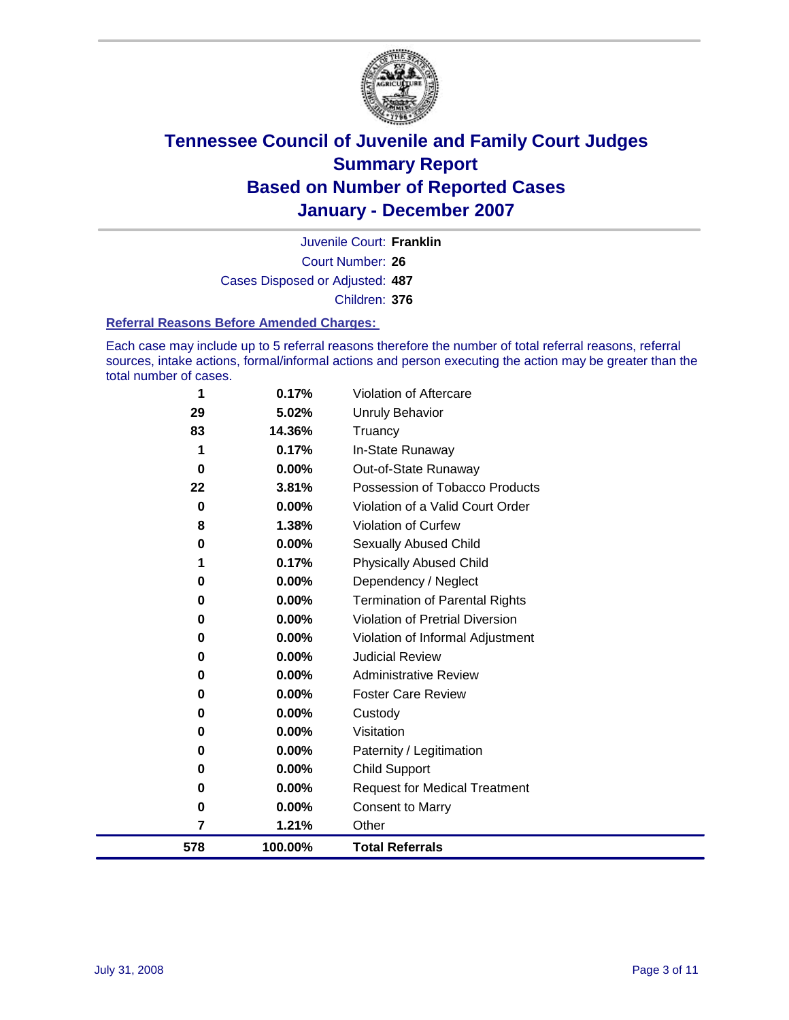

Court Number: **26** Juvenile Court: **Franklin** Cases Disposed or Adjusted: **487** Children: **376**

#### **Referral Reasons Before Amended Charges:**

Each case may include up to 5 referral reasons therefore the number of total referral reasons, referral sources, intake actions, formal/informal actions and person executing the action may be greater than the total number of cases.

| 578 | 100.00%                                                | <b>Total Referrals</b>                                                                                             |
|-----|--------------------------------------------------------|--------------------------------------------------------------------------------------------------------------------|
| 7   | 1.21%                                                  | Other                                                                                                              |
| 0   | 0.00%                                                  | <b>Consent to Marry</b>                                                                                            |
| 0   | 0.00%                                                  | <b>Request for Medical Treatment</b>                                                                               |
| 0   | 0.00%                                                  | <b>Child Support</b>                                                                                               |
| 0   | 0.00%                                                  | Paternity / Legitimation                                                                                           |
| 0   | 0.00%                                                  | Visitation                                                                                                         |
| 0   | 0.00%                                                  | Custody                                                                                                            |
| 0   | $0.00\%$                                               | <b>Foster Care Review</b>                                                                                          |
| 0   | $0.00\%$                                               | <b>Administrative Review</b>                                                                                       |
| 0   | 0.00%                                                  | <b>Judicial Review</b>                                                                                             |
| 0   | 0.00%                                                  | Violation of Informal Adjustment                                                                                   |
| 0   | $0.00\%$                                               | <b>Violation of Pretrial Diversion</b>                                                                             |
| 0   |                                                        | <b>Termination of Parental Rights</b>                                                                              |
|     |                                                        | Dependency / Neglect                                                                                               |
|     |                                                        | <b>Physically Abused Child</b>                                                                                     |
|     |                                                        | Sexually Abused Child                                                                                              |
|     |                                                        | <b>Violation of Curfew</b>                                                                                         |
|     |                                                        | Violation of a Valid Court Order                                                                                   |
|     |                                                        | Out-of-State Runaway<br>Possession of Tobacco Products                                                             |
|     |                                                        | In-State Runaway                                                                                                   |
|     |                                                        | Truancy                                                                                                            |
|     |                                                        | Unruly Behavior                                                                                                    |
|     |                                                        | Violation of Aftercare                                                                                             |
|     | 1<br>29<br>83<br>1<br>0<br>22<br>0<br>8<br>0<br>1<br>0 | 0.17%<br>5.02%<br>14.36%<br>0.17%<br>$0.00\%$<br>3.81%<br>0.00%<br>1.38%<br>$0.00\%$<br>0.17%<br>0.00%<br>$0.00\%$ |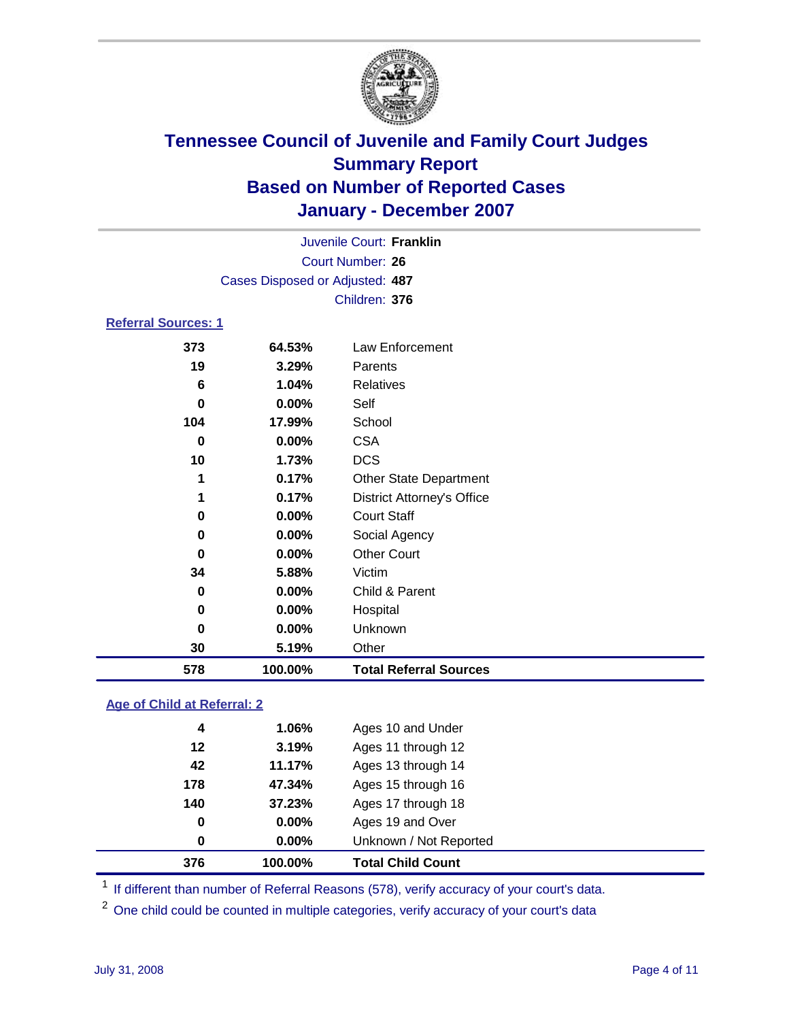

|                            |                                 | Juvenile Court: Franklin |  |  |  |
|----------------------------|---------------------------------|--------------------------|--|--|--|
|                            | Court Number: 26                |                          |  |  |  |
|                            | Cases Disposed or Adjusted: 487 |                          |  |  |  |
|                            |                                 | Children: 376            |  |  |  |
| <b>Referral Sources: 1</b> |                                 |                          |  |  |  |
| 373                        | 64.53%                          | Law Enforcement          |  |  |  |
| 19                         | 3.29%                           | Parents                  |  |  |  |
| 6                          | 1.04%                           | <b>Relatives</b>         |  |  |  |
| 0                          | $0.00\%$                        | Self                     |  |  |  |
| 104                        | 17.99%                          | School                   |  |  |  |
| $\bullet$                  | $\sim$ $\sim$ $\sim$ $\sim$     | ~~ ^                     |  |  |  |

| 19  | 3.29%    | Parents                           |
|-----|----------|-----------------------------------|
| 6   | 1.04%    | Relatives                         |
| 0   | 0.00%    | Self                              |
| 104 | 17.99%   | School                            |
| 0   | $0.00\%$ | <b>CSA</b>                        |
| 10  | 1.73%    | <b>DCS</b>                        |
|     | 0.17%    | <b>Other State Department</b>     |
|     | 0.17%    | <b>District Attorney's Office</b> |
| 0   | 0.00%    | <b>Court Staff</b>                |
| 0   | 0.00%    | Social Agency                     |
| 0   | 0.00%    | <b>Other Court</b>                |
| 34  | 5.88%    | Victim                            |
| 0   | 0.00%    | Child & Parent                    |
| 0   | 0.00%    | Hospital                          |
| 0   | 0.00%    | Unknown                           |
| 30  | 5.19%    | Other                             |
| 578 | 100.00%  | <b>Total Referral Sources</b>     |

### **Age of Child at Referral: 2**

| 376<br>100.00% | <b>Total Child Count</b> |
|----------------|--------------------------|
| 0.00%<br>0     | Unknown / Not Reported   |
| 0.00%<br>0     | Ages 19 and Over         |
| 140<br>37.23%  | Ages 17 through 18       |
| 178<br>47.34%  | Ages 15 through 16       |
| 42<br>11.17%   | Ages 13 through 14       |
| 12<br>3.19%    | Ages 11 through 12       |
| 4<br>1.06%     | Ages 10 and Under        |
|                |                          |

<sup>1</sup> If different than number of Referral Reasons (578), verify accuracy of your court's data.

One child could be counted in multiple categories, verify accuracy of your court's data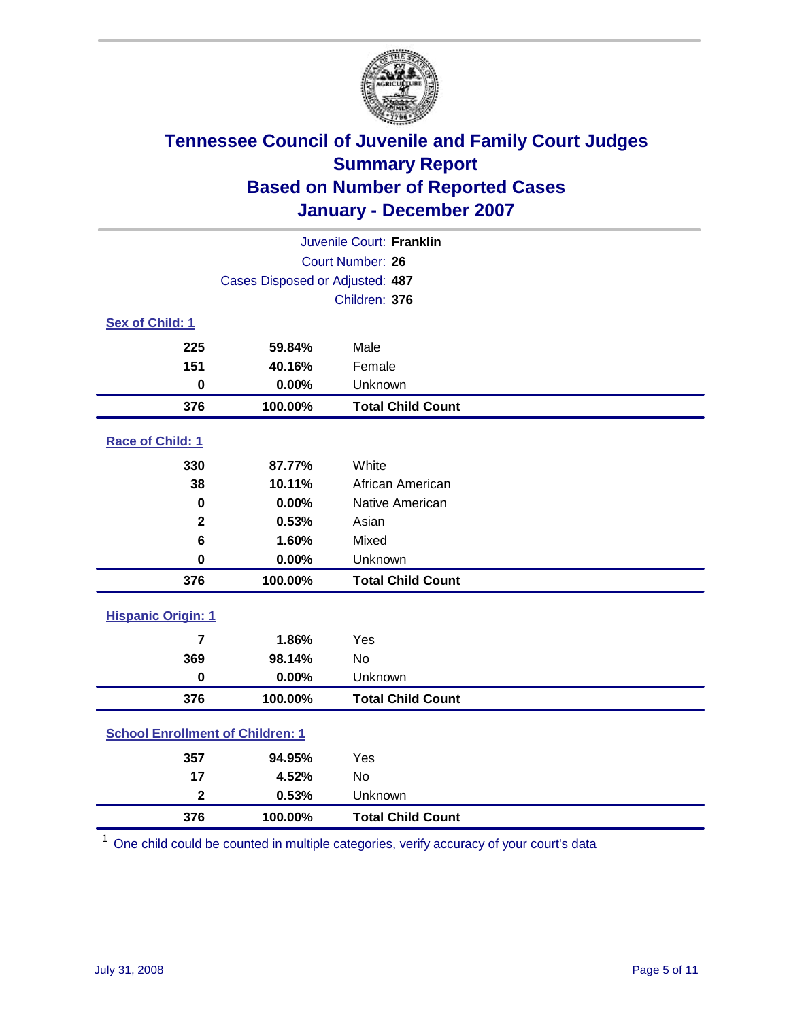

| Juvenile Court: Franklin                |                                 |                          |  |  |  |
|-----------------------------------------|---------------------------------|--------------------------|--|--|--|
|                                         | <b>Court Number: 26</b>         |                          |  |  |  |
|                                         | Cases Disposed or Adjusted: 487 |                          |  |  |  |
| Children: 376                           |                                 |                          |  |  |  |
| Sex of Child: 1                         |                                 |                          |  |  |  |
| 225                                     | 59.84%                          | Male                     |  |  |  |
| 151                                     | 40.16%                          | Female                   |  |  |  |
| $\bf{0}$                                | 0.00%                           | Unknown                  |  |  |  |
| 376                                     | 100.00%                         | <b>Total Child Count</b> |  |  |  |
| <b>Race of Child: 1</b>                 |                                 |                          |  |  |  |
| 330                                     | 87.77%                          | White                    |  |  |  |
| 38                                      | 10.11%                          | African American         |  |  |  |
| 0                                       | 0.00%                           | Native American          |  |  |  |
| $\mathbf{2}$                            | 0.53%                           | Asian                    |  |  |  |
| 6                                       | 1.60%                           | Mixed                    |  |  |  |
| $\bf{0}$                                | 0.00%                           | Unknown                  |  |  |  |
| 376                                     | 100.00%                         | <b>Total Child Count</b> |  |  |  |
| <b>Hispanic Origin: 1</b>               |                                 |                          |  |  |  |
| 7                                       | 1.86%                           | Yes                      |  |  |  |
| 369                                     | 98.14%                          | <b>No</b>                |  |  |  |
| $\mathbf 0$                             | 0.00%                           | Unknown                  |  |  |  |
| 376                                     | 100.00%                         | <b>Total Child Count</b> |  |  |  |
| <b>School Enrollment of Children: 1</b> |                                 |                          |  |  |  |
| 357                                     | 94.95%                          | Yes                      |  |  |  |
| 17                                      | 4.52%                           | No                       |  |  |  |
| $\overline{\mathbf{2}}$                 | 0.53%                           | Unknown                  |  |  |  |
| 376                                     | 100.00%                         | <b>Total Child Count</b> |  |  |  |

One child could be counted in multiple categories, verify accuracy of your court's data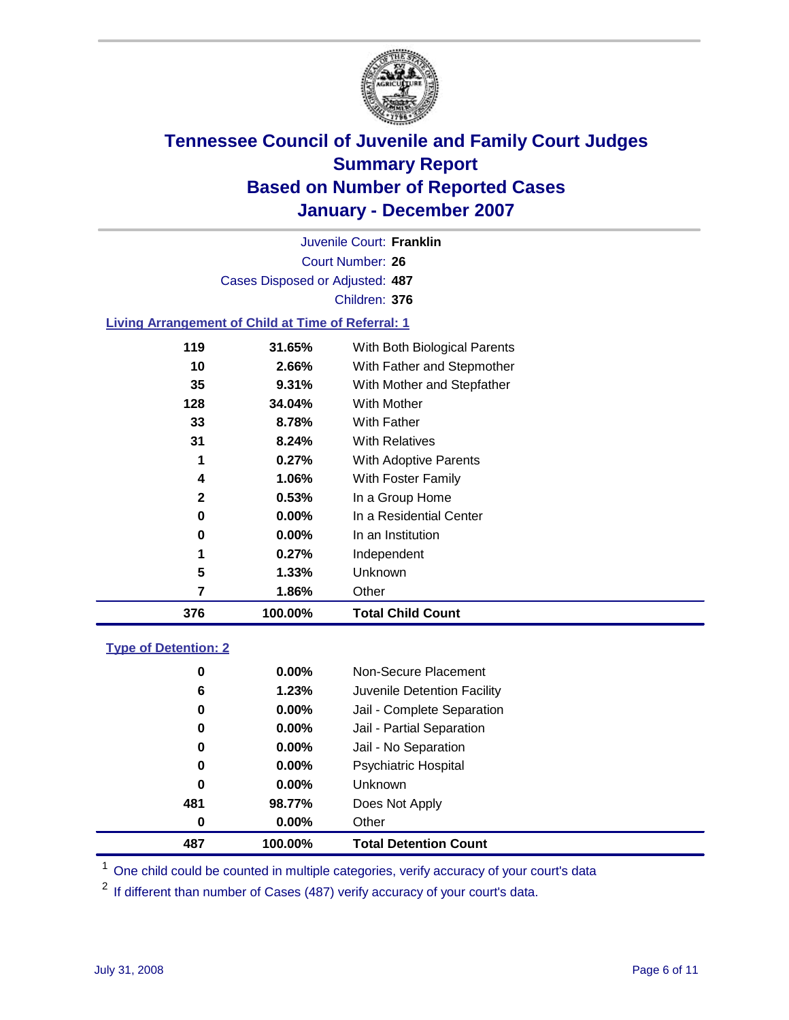

Court Number: **26** Juvenile Court: **Franklin** Cases Disposed or Adjusted: **487** Children: **376**

#### **Living Arrangement of Child at Time of Referral: 1**

| 376          | 100.00%  | <b>Total Child Count</b>     |
|--------------|----------|------------------------------|
| 7            | 1.86%    | Other                        |
| 5            | $1.33\%$ | Unknown                      |
| 1            | 0.27%    | Independent                  |
| 0            | $0.00\%$ | In an Institution            |
| 0            | $0.00\%$ | In a Residential Center      |
| $\mathbf{2}$ | 0.53%    | In a Group Home              |
| 4            | 1.06%    | With Foster Family           |
| 1            | 0.27%    | With Adoptive Parents        |
| 31           | $8.24\%$ | <b>With Relatives</b>        |
| 33           | 8.78%    | With Father                  |
| 128          | 34.04%   | With Mother                  |
| 35           | 9.31%    | With Mother and Stepfather   |
| 10           | 2.66%    | With Father and Stepmother   |
| 119          | 31.65%   | With Both Biological Parents |
|              |          |                              |

#### **Type of Detention: 2**

| 487 | 100.00%  | <b>Total Detention Count</b> |
|-----|----------|------------------------------|
| 0   | 0.00%    | Other                        |
| 481 | 98.77%   | Does Not Apply               |
| 0   | $0.00\%$ | Unknown                      |
| 0   | $0.00\%$ | <b>Psychiatric Hospital</b>  |
| 0   | 0.00%    | Jail - No Separation         |
| 0   | $0.00\%$ | Jail - Partial Separation    |
| 0   | $0.00\%$ | Jail - Complete Separation   |
| 6   | 1.23%    | Juvenile Detention Facility  |
| 0   | 0.00%    | Non-Secure Placement         |
|     |          |                              |

<sup>1</sup> One child could be counted in multiple categories, verify accuracy of your court's data

<sup>2</sup> If different than number of Cases (487) verify accuracy of your court's data.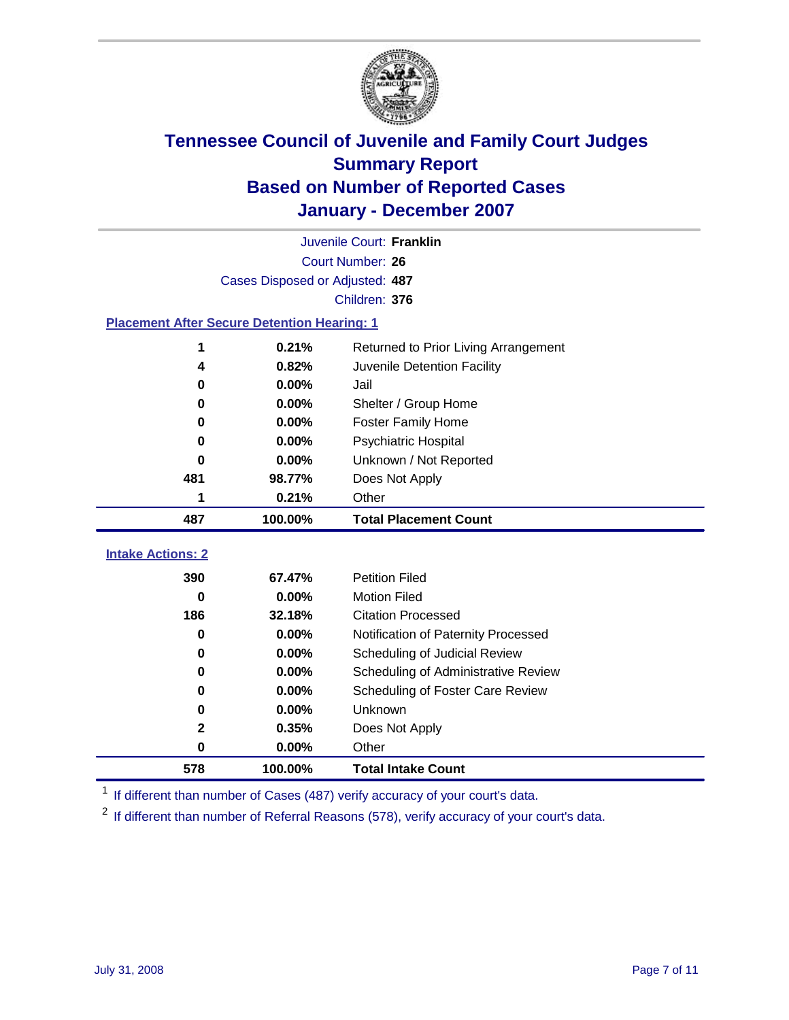

|                                                    |                                 | Juvenile Court: Franklin             |
|----------------------------------------------------|---------------------------------|--------------------------------------|
|                                                    |                                 | Court Number: 26                     |
|                                                    | Cases Disposed or Adjusted: 487 |                                      |
|                                                    |                                 | Children: 376                        |
| <b>Placement After Secure Detention Hearing: 1</b> |                                 |                                      |
| 1                                                  | 0.21%                           | Returned to Prior Living Arrangement |
| 4                                                  | 0.82%                           | Juvenile Detention Facility          |
| 0                                                  | 0.00%                           | Jail                                 |
| 0                                                  | 0.00%                           | Shelter / Group Home                 |
| 0                                                  | $0.00\%$                        | <b>Foster Family Home</b>            |
| 0                                                  | 0.00%                           | Psychiatric Hospital                 |
| 0                                                  | 0.00%                           | Unknown / Not Reported               |
| 481                                                | 98.77%                          | Does Not Apply                       |
| 1                                                  | 0.21%                           | Other                                |
| 487                                                | 100.00%                         | <b>Total Placement Count</b>         |
| <b>Intake Actions: 2</b>                           |                                 |                                      |
|                                                    |                                 |                                      |
| 390                                                | 67.47%                          | <b>Petition Filed</b>                |
| 0                                                  | 0.00%                           | <b>Motion Filed</b>                  |
| 186                                                | 32.18%                          | <b>Citation Processed</b>            |
| 0                                                  | 0.00%                           | Notification of Paternity Processed  |
| 0                                                  | 0.00%                           | Scheduling of Judicial Review        |
| 0                                                  | 0.00%                           | Scheduling of Administrative Review  |
| 0                                                  | 0.00%                           | Scheduling of Foster Care Review     |
| 0                                                  | 0.00%                           | Unknown                              |
| $\mathbf{2}$                                       | 0.35%                           | Does Not Apply                       |
| 0                                                  | 0.00%                           | Other                                |
| 578                                                | 100.00%                         | <b>Total Intake Count</b>            |

<sup>1</sup> If different than number of Cases (487) verify accuracy of your court's data.

<sup>2</sup> If different than number of Referral Reasons (578), verify accuracy of your court's data.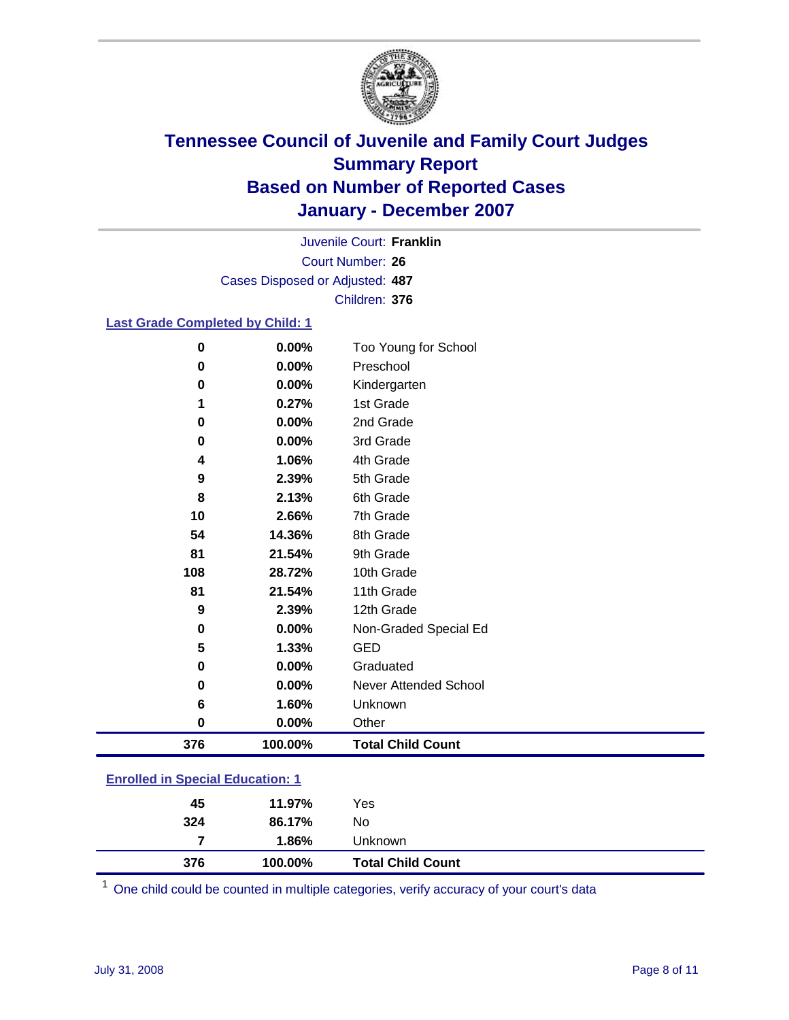

Court Number: **26** Juvenile Court: **Franklin** Cases Disposed or Adjusted: **487** Children: **376**

### **Last Grade Completed by Child: 1**

| 4<br>9<br>8<br>10<br>54<br>81<br>108<br>81<br>9<br>$\bf{0}$ | 1.06%<br>2.39%<br>2.13%<br>2.66%<br>14.36%<br>21.54%<br>28.72%<br>21.54%<br>2.39%<br>0.00% | 5th Grade<br>6th Grade<br>7th Grade<br>8th Grade<br>9th Grade<br>10th Grade<br>11th Grade<br>12th Grade<br>Non-Graded Special Ed |
|-------------------------------------------------------------|--------------------------------------------------------------------------------------------|----------------------------------------------------------------------------------------------------------------------------------|
|                                                             |                                                                                            |                                                                                                                                  |
|                                                             |                                                                                            |                                                                                                                                  |
|                                                             |                                                                                            |                                                                                                                                  |
|                                                             |                                                                                            |                                                                                                                                  |
|                                                             |                                                                                            |                                                                                                                                  |
|                                                             |                                                                                            |                                                                                                                                  |
|                                                             |                                                                                            |                                                                                                                                  |
|                                                             |                                                                                            |                                                                                                                                  |
|                                                             |                                                                                            |                                                                                                                                  |
|                                                             |                                                                                            | 4th Grade                                                                                                                        |
| 0                                                           | 0.00%                                                                                      | 3rd Grade                                                                                                                        |
| 0                                                           | 0.00%                                                                                      | 2nd Grade                                                                                                                        |
|                                                             |                                                                                            | Kindergarten<br>1st Grade                                                                                                        |
|                                                             |                                                                                            | Preschool                                                                                                                        |
|                                                             |                                                                                            | Too Young for School                                                                                                             |
|                                                             | 0<br>0<br>1                                                                                | 0.00%<br>0<br>0.00%<br>0.00%<br>0.27%                                                                                            |

### **Enrolled in Special Education: 1**

| 376 | 100.00% | <b>Total Child Count</b> |  |
|-----|---------|--------------------------|--|
| 7   | 1.86%   | <b>Unknown</b>           |  |
| 324 | 86.17%  | No                       |  |
| 45  | 11.97%  | Yes                      |  |
|     |         |                          |  |

<sup>1</sup> One child could be counted in multiple categories, verify accuracy of your court's data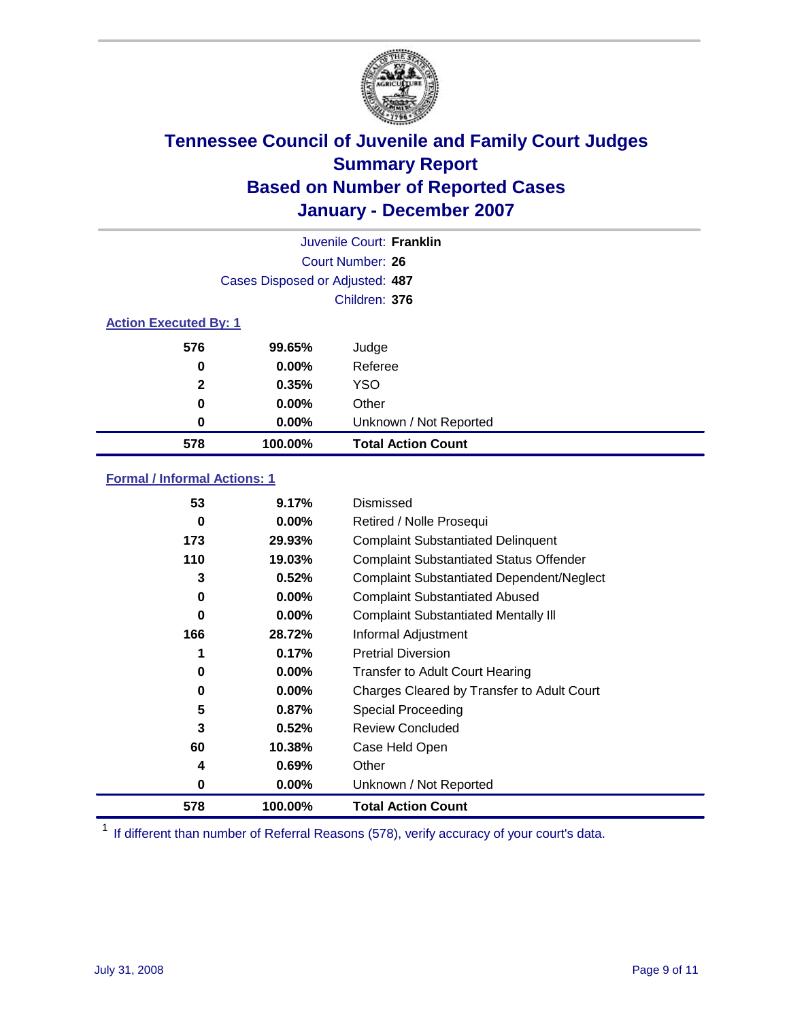

|                              |                                 | Juvenile Court: Franklin  |
|------------------------------|---------------------------------|---------------------------|
|                              |                                 | Court Number: 26          |
|                              | Cases Disposed or Adjusted: 487 |                           |
|                              |                                 | Children: 376             |
| <b>Action Executed By: 1</b> |                                 |                           |
| 576                          | 99.65%                          | Judge                     |
| 0                            | $0.00\%$                        | Referee                   |
| $\mathbf{2}$                 | 0.35%                           | <b>YSO</b>                |
| 0                            | $0.00\%$                        | Other                     |
| 0                            | $0.00\%$                        | Unknown / Not Reported    |
| 578                          | 100.00%                         | <b>Total Action Count</b> |

### **Formal / Informal Actions: 1**

| 53  | 9.17%    | Dismissed                                        |
|-----|----------|--------------------------------------------------|
| 0   | $0.00\%$ | Retired / Nolle Prosequi                         |
| 173 | 29.93%   | <b>Complaint Substantiated Delinquent</b>        |
| 110 | 19.03%   | <b>Complaint Substantiated Status Offender</b>   |
| 3   | 0.52%    | <b>Complaint Substantiated Dependent/Neglect</b> |
| 0   | $0.00\%$ | <b>Complaint Substantiated Abused</b>            |
| 0   | $0.00\%$ | <b>Complaint Substantiated Mentally III</b>      |
| 166 | 28.72%   | Informal Adjustment                              |
| 1   | 0.17%    | <b>Pretrial Diversion</b>                        |
| 0   | $0.00\%$ | <b>Transfer to Adult Court Hearing</b>           |
| 0   | $0.00\%$ | Charges Cleared by Transfer to Adult Court       |
| 5   | 0.87%    | Special Proceeding                               |
| 3   | 0.52%    | <b>Review Concluded</b>                          |
| 60  | 10.38%   | Case Held Open                                   |
| 4   | 0.69%    | Other                                            |
| 0   | 0.00%    | Unknown / Not Reported                           |
| 578 | 100.00%  | <b>Total Action Count</b>                        |

<sup>1</sup> If different than number of Referral Reasons (578), verify accuracy of your court's data.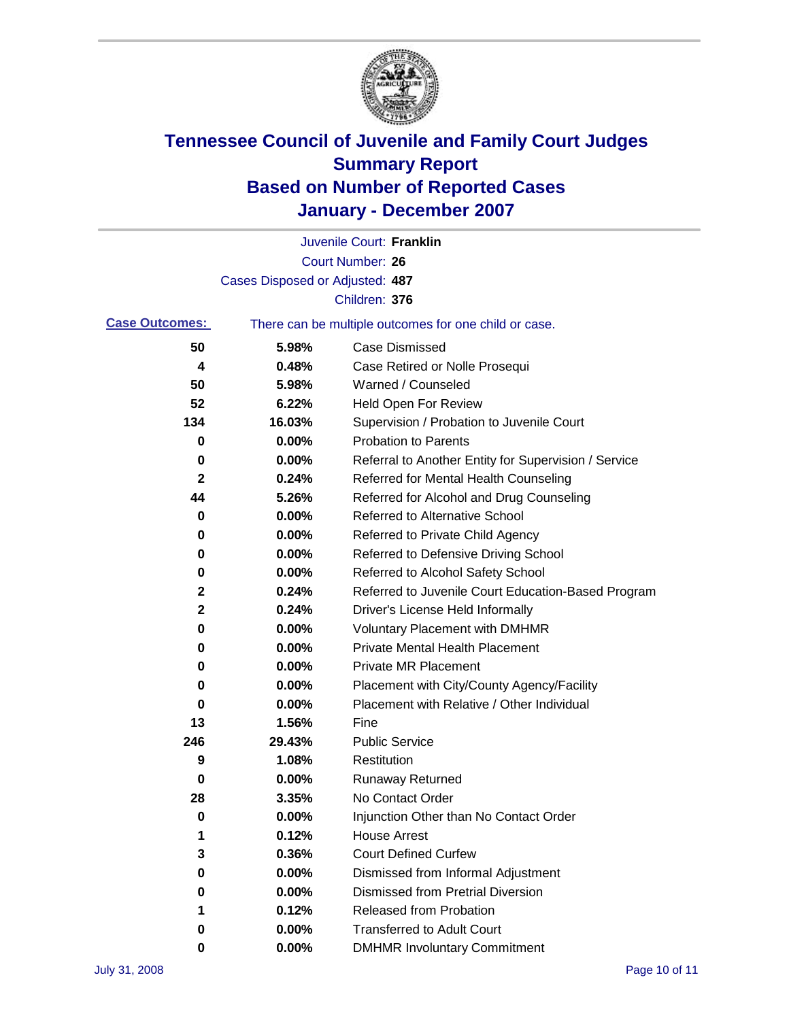

|                       |                                 | Juvenile Court: Franklin                              |
|-----------------------|---------------------------------|-------------------------------------------------------|
|                       |                                 | Court Number: 26                                      |
|                       | Cases Disposed or Adjusted: 487 |                                                       |
|                       |                                 | Children: 376                                         |
| <b>Case Outcomes:</b> |                                 | There can be multiple outcomes for one child or case. |
| 50                    | 5.98%                           | <b>Case Dismissed</b>                                 |
| 4                     | 0.48%                           | Case Retired or Nolle Prosequi                        |
| 50                    | 5.98%                           | Warned / Counseled                                    |
| 52                    | 6.22%                           | Held Open For Review                                  |
| 134                   | 16.03%                          | Supervision / Probation to Juvenile Court             |
| 0                     | 0.00%                           | <b>Probation to Parents</b>                           |
| 0                     | 0.00%                           | Referral to Another Entity for Supervision / Service  |
| 2                     | 0.24%                           | Referred for Mental Health Counseling                 |
| 44                    | 5.26%                           | Referred for Alcohol and Drug Counseling              |
| 0                     | 0.00%                           | <b>Referred to Alternative School</b>                 |
| 0                     | 0.00%                           | Referred to Private Child Agency                      |
| 0                     | 0.00%                           | Referred to Defensive Driving School                  |
| 0                     | 0.00%                           | Referred to Alcohol Safety School                     |
| 2                     | 0.24%                           | Referred to Juvenile Court Education-Based Program    |
| 2                     | 0.24%                           | Driver's License Held Informally                      |
| 0                     | 0.00%                           | <b>Voluntary Placement with DMHMR</b>                 |
| 0                     | 0.00%                           | <b>Private Mental Health Placement</b>                |
| 0                     | 0.00%                           | <b>Private MR Placement</b>                           |
| 0                     | 0.00%                           | Placement with City/County Agency/Facility            |
| 0                     | 0.00%                           | Placement with Relative / Other Individual            |
| 13                    | 1.56%                           | Fine                                                  |
| 246                   | 29.43%                          | <b>Public Service</b>                                 |
| 9                     | 1.08%                           | Restitution                                           |
| 0                     | 0.00%                           | <b>Runaway Returned</b>                               |
| 28                    | 3.35%                           | No Contact Order                                      |
| 0                     | 0.00%                           | Injunction Other than No Contact Order                |
| 1                     | 0.12%                           | <b>House Arrest</b>                                   |
| 3                     | 0.36%                           | <b>Court Defined Curfew</b>                           |
| 0                     | 0.00%                           | Dismissed from Informal Adjustment                    |
| 0                     | 0.00%                           | <b>Dismissed from Pretrial Diversion</b>              |
| 1                     | 0.12%                           | <b>Released from Probation</b>                        |
| 0                     | 0.00%                           | <b>Transferred to Adult Court</b>                     |
| 0                     | $0.00\%$                        | <b>DMHMR Involuntary Commitment</b>                   |